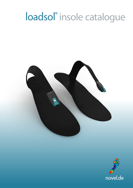## loadsol® insole catalogue



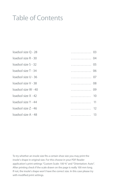## Table of Contents

| loadsol size Q - 28 | . 03 |                 |
|---------------------|------|-----------------|
| loadsol size R - 30 | . 04 |                 |
| loadsol size S - 32 | . 05 |                 |
| loadsol size T - 34 | . 06 |                 |
| loadsol size U - 36 | . 07 |                 |
| loadsol size V - 38 | . 08 |                 |
| loadsol size W - 40 | . 09 |                 |
| loadsol size X - 42 | .    | $\overline{10}$ |
| loadsol size Y - 44 | .    | 11              |
| loadsol size Z - 46 | .    | 12              |
| loadsol size A - 48 | . 13 |                 |

To try whether an insole size fits a certain shoe size you may print the insole's shape in original size. For this choose in your PDF Reader application's print settings "Custom Scale: 100 %" and "Orientation: Auto". After printing check if the scale drawn on the page is really 100 mm long. If not, the insole's shape won't have the correct size. In this case please try with modified print settings.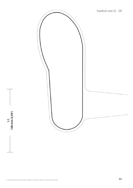<span id="page-2-0"></span>

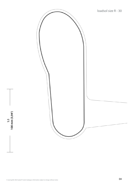<span id="page-3-0"></span>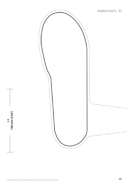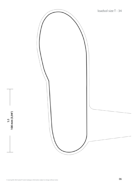<span id="page-5-0"></span>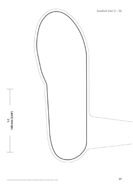<span id="page-6-0"></span>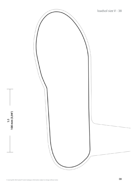<span id="page-7-0"></span>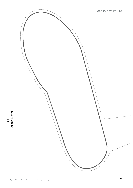<span id="page-8-0"></span>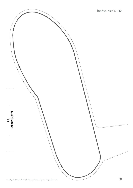<span id="page-9-0"></span>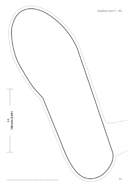<span id="page-10-0"></span>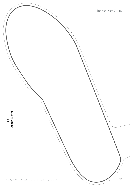<span id="page-11-0"></span>